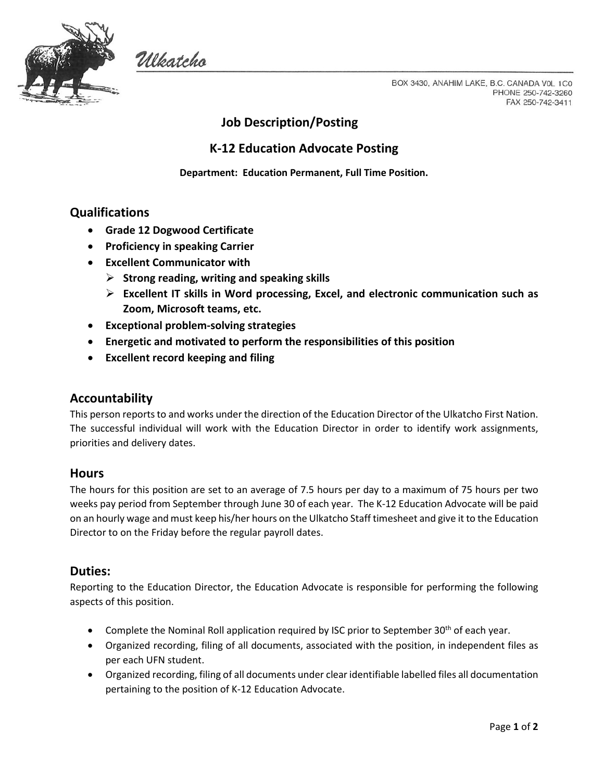

Ulkatcho

BOX 3430, ANAHIM LAKE, B.C. CANADA VOL 1C0 PHONE 250-742-3260 FAX 250-742-3411

# **Job Description/Posting**

## **K-12 Education Advocate Posting**

**Department: Education Permanent, Full Time Position.**

## **Qualifications**

- **Grade 12 Dogwood Certificate**
- **Proficiency in speaking Carrier**
- **Excellent Communicator with**
	- **Strong reading, writing and speaking skills**
	- **Excellent IT skills in Word processing, Excel, and electronic communication such as Zoom, Microsoft teams, etc.**
- **Exceptional problem-solving strategies**
- **Energetic and motivated to perform the responsibilities of this position**
- **Excellent record keeping and filing**

## **Accountability**

This person reports to and works under the direction of the Education Director of the Ulkatcho First Nation. The successful individual will work with the Education Director in order to identify work assignments, priorities and delivery dates.

#### **Hours**

The hours for this position are set to an average of 7.5 hours per day to a maximum of 75 hours per two weeks pay period from September through June 30 of each year. The K-12 Education Advocate will be paid on an hourly wage and must keep his/her hours on the Ulkatcho Staff timesheet and give it to the Education Director to on the Friday before the regular payroll dates.

## **Duties:**

Reporting to the Education Director, the Education Advocate is responsible for performing the following aspects of this position.

- Complete the Nominal Roll application required by ISC prior to September 30<sup>th</sup> of each year.
- Organized recording, filing of all documents, associated with the position, in independent files as per each UFN student.
- Organized recording, filing of all documents under clear identifiable labelled files all documentation pertaining to the position of K-12 Education Advocate.